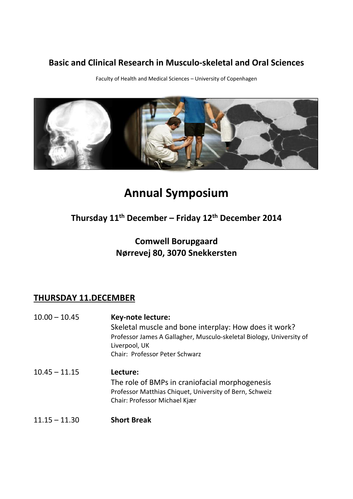## **Basic and Clinical Research in Musculo-skeletal and Oral Sciences**

Faculty of Health and Medical Sciences – University of Copenhagen



# **Annual Symposium**

## **Thursday 11th December – Friday 12th December 2014**

## **Comwell Borupgaard Nørrevej 80, 3070 Snekkersten**

## **THURSDAY 11.DECEMBER**

- 10.00 10.45 **Key-note lecture:** Skeletal muscle and bone interplay: How does it work? Professor James A Gallagher, Musculo-skeletal Biology, University of Liverpool, UK Chair: Professor Peter Schwarz 10.45 – 11.15 **Lecture:** The role of BMPs in craniofacial morphogenesis Professor Matthias Chiquet, University of Bern, Schweiz Chair: Professor Michael Kjær
- 11.15 11.30 **Short Break**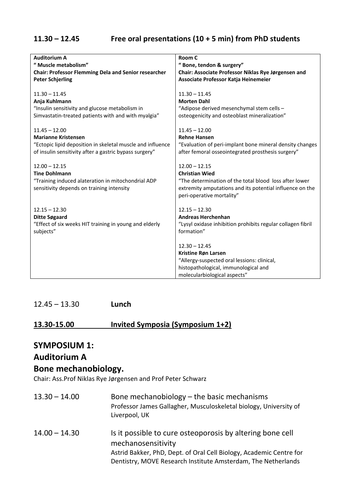#### **11.30 – 12.45 Free oral presentations (10 + 5 min) from PhD students**

| <b>Auditorium A</b>                                                                                                                        | Room C                                                                                                                                                                                      |
|--------------------------------------------------------------------------------------------------------------------------------------------|---------------------------------------------------------------------------------------------------------------------------------------------------------------------------------------------|
| " Muscle metabolism"                                                                                                                       | "Bone, tendon & surgery"                                                                                                                                                                    |
| <b>Chair: Professor Flemming Dela and Senior researcher</b>                                                                                | Chair: Associate Professor Niklas Rye Jørgensen and                                                                                                                                         |
| <b>Peter Schjerling</b>                                                                                                                    | Associate Professor Katja Heinemeier                                                                                                                                                        |
| $11.30 - 11.45$                                                                                                                            | $11.30 - 11.45$                                                                                                                                                                             |
| Anja Kuhlmann                                                                                                                              | <b>Morten Dahl</b>                                                                                                                                                                          |
| "Insulin sensitivity and glucose metabolism in                                                                                             | "Adipose derived mesenchymal stem cells -                                                                                                                                                   |
| Simvastatin-treated patients with and with myalgia"                                                                                        | osteogenicity and osteoblast mineralization"                                                                                                                                                |
| $11.45 - 12.00$                                                                                                                            | $11.45 - 12.00$                                                                                                                                                                             |
| <b>Marianne Kristensen</b>                                                                                                                 | <b>Rehne Hansen</b>                                                                                                                                                                         |
| "Ectopic lipid deposition in skeletal muscle and influence                                                                                 | "Evaluation of peri-implant bone mineral density changes                                                                                                                                    |
| of insulin sensitivity after a gastric bypass surgery"                                                                                     | after femoral osseointegrated prosthesis surgery"                                                                                                                                           |
| $12.00 - 12.15$<br><b>Tine Dohlmann</b><br>"Training induced alateration in mitochondrial ADP<br>sensitivity depends on training intensity | $12.00 - 12.15$<br><b>Christian Wied</b><br>"The determination of the total blood loss after lower<br>extremity amputations and its potential influence on the<br>peri-operative mortality" |
| $12.15 - 12.30$                                                                                                                            | $12.15 - 12.30$                                                                                                                                                                             |
| <b>Ditte Søgaard</b>                                                                                                                       | <b>Andreas Herchenhan</b>                                                                                                                                                                   |
| "Effect of six weeks HIT training in young and elderly                                                                                     | "Lysyl oxidase inhibition prohibits regular collagen fibril                                                                                                                                 |
| subjects"                                                                                                                                  | formation"                                                                                                                                                                                  |
|                                                                                                                                            | $12.30 - 12.45$<br>Kristine Røn Larsen<br>"Allergy-suspected oral lessions: clinical,<br>histopathological, immunological and<br>molecularbiological aspects"                               |

12.45 – 13.30 **Lunch**

#### **13.30-15.00 Invited Symposia (Symposium 1+2)**

#### **SYMPOSIUM 1:**

#### **Auditorium A**

#### **Bone mechanobiology.**

Chair: Ass.Prof Niklas Rye Jørgensen and Prof Peter Schwarz

- 13.30 14.00 Bone mechanobiology the basic mechanisms Professor James Gallagher, Musculoskeletal biology, University of Liverpool, UK
- 14.00 14.30 Is it possible to cure osteoporosis by altering bone cell mechanosensitivity Astrid Bakker, PhD, Dept. of Oral Cell Biology, Academic Centre for Dentistry, MOVE Research Institute Amsterdam, The Netherlands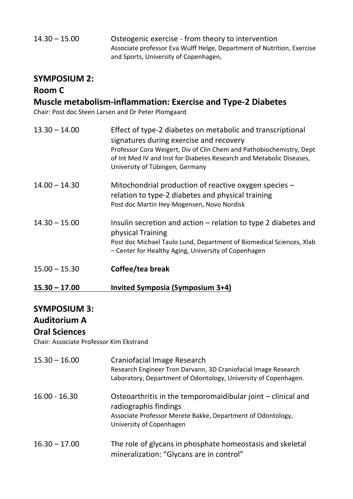| $14.30 - 15.00$ | Osteogenic exercise - from theory to intervention                      |
|-----------------|------------------------------------------------------------------------|
|                 | Associate professor Eva Wulff Helge, Department of Nutrition, Exercise |
|                 | and Sports, University of Copenhagen,                                  |

### **SYMPOSIUM 2:**

## **Room C**

## **Muscle metabolism-inflammation: Exercise and Type-2 Diabetes**

Chair: Post doc Steen Larsen and Dr Peter Plomgaard

| $13.30 - 14.00$ | Effect of type-2 diabetes on metabolic and transcriptional<br>signatures during exercise and recovery<br>Professor Cora Weigert, Div of Clin Chem and Pathobiochemistry, Dept<br>of Int Med IV and Inst for Diabetes Research and Metabolic Diseases,<br>University of Tübingen, Germany |
|-----------------|------------------------------------------------------------------------------------------------------------------------------------------------------------------------------------------------------------------------------------------------------------------------------------------|
| $14.00 - 14.30$ | Mitochondrial production of reactive oxygen species -<br>relation to type-2 diabetes and physical training<br>Post doc Martin Hey-Mogensen, Novo Nordisk                                                                                                                                 |
| $14.30 - 15.00$ | Insulin secretion and action $-$ relation to type 2 diabetes and<br>physical Training<br>Post doc Michael Taulo Lund, Department of Biomedical Sciences, Xlab<br>- Center for Healthy Aging, University of Copenhagen                                                                    |
| $15.00 - 15.30$ | Coffee/tea break                                                                                                                                                                                                                                                                         |

**15.30 – 17.00 Invited Symposia (Symposium 3+4)**

## **SYMPOSIUM 3:**

## **Auditorium A**

#### **Oral Sciences**

Chair: Associate Professor Kim Ekstrand

| $15.30 - 16.00$ | Craniofacial Image Research<br>Research Engineer Tron Darvann, 3D Craniofacial Image Research<br>Laboratory, Department of Odontology, University of Copenhagen.                 |
|-----------------|----------------------------------------------------------------------------------------------------------------------------------------------------------------------------------|
| $16.00 - 16.30$ | Osteoarthritis in the temporomaidibular joint – clinical and<br>radiographis findings<br>Associate Professor Merete Bakke, Department of Odontology,<br>University of Copenhagen |
| $16.30 - 17.00$ | The role of glycans in phosphate homeostasis and skeletal<br>mineralization: "Glycans are in control"                                                                            |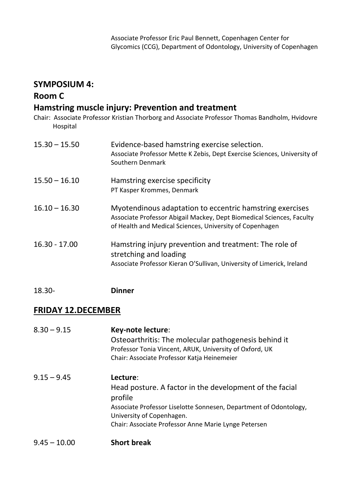#### **SYMPOSIUM 4:**

#### **Room C**

### **Hamstring muscle injury: Prevention and treatment**

Chair: Associate Professor Kristian Thorborg and Associate Professor Thomas Bandholm, Hvidovre Hospital

| $15.30 - 15.50$ | Evidence-based hamstring exercise selection.<br>Associate Professor Mette K Zebis, Dept Exercise Sciences, University of<br>Southern Denmark                                                  |
|-----------------|-----------------------------------------------------------------------------------------------------------------------------------------------------------------------------------------------|
| $15.50 - 16.10$ | Hamstring exercise specificity<br>PT Kasper Krommes, Denmark                                                                                                                                  |
| $16.10 - 16.30$ | Myotendinous adaptation to eccentric hamstring exercises<br>Associate Professor Abigail Mackey, Dept Biomedical Sciences, Faculty<br>of Health and Medical Sciences, University of Copenhagen |
| $16.30 - 17.00$ | Hamstring injury prevention and treatment: The role of<br>stretching and loading<br>Associate Professor Kieran O'Sullivan, University of Limerick, Ireland                                    |

18.30- **Dinner**

### **FRIDAY 12.DECEMBER**

| $8.30 - 9.15$  | Key-note lecture:<br>Osteoarthritis: The molecular pathogenesis behind it<br>Professor Tonia Vincent, ARUK, University of Oxford, UK<br>Chair: Associate Professor Katja Heinemeier |
|----------------|-------------------------------------------------------------------------------------------------------------------------------------------------------------------------------------|
| $9.15 - 9.45$  | Lecture:<br>Head posture. A factor in the development of the facial<br>profile<br>Associate Professor Liselotte Sonnesen, Department of Odontology,<br>University of Copenhagen.    |
|                | Chair: Associate Professor Anne Marie Lynge Petersen                                                                                                                                |
| $9.45 - 10.00$ | <b>Short break</b>                                                                                                                                                                  |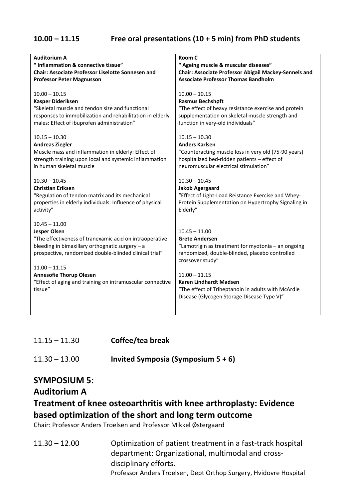#### **10.00 – 11.15 Free oral presentations (10 + 5 min) from PhD students**

| <b>Auditorium A</b>                                                                                                                                                                                                               | Room C                                                                                                                                                               |
|-----------------------------------------------------------------------------------------------------------------------------------------------------------------------------------------------------------------------------------|----------------------------------------------------------------------------------------------------------------------------------------------------------------------|
| " Inflammation & connective tissue"                                                                                                                                                                                               | " Ageing muscle & muscular diseases"                                                                                                                                 |
| <b>Chair: Associate Professor Liselotte Sonnesen and</b>                                                                                                                                                                          | Chair: Associate Professor Abigail Mackey-Sennels and                                                                                                                |
| <b>Professor Peter Magnusson</b>                                                                                                                                                                                                  | <b>Associate Professor Thomas Bandholm</b>                                                                                                                           |
| $10.00 - 10.15$                                                                                                                                                                                                                   | $10.00 - 10.15$                                                                                                                                                      |
| <b>Kasper Dideriksen</b>                                                                                                                                                                                                          | <b>Rasmus Bechshøft</b>                                                                                                                                              |
| "Skeletal muscle and tendon size and functional                                                                                                                                                                                   | "The effect of heavy resistance exercise and protein                                                                                                                 |
| responses to immobilization and rehabilitation in elderly                                                                                                                                                                         | supplementation on skeletal muscle strength and                                                                                                                      |
| males: Effect of ibuprofen administration"                                                                                                                                                                                        | function in very-old individuals"                                                                                                                                    |
| $10.15 - 10.30$                                                                                                                                                                                                                   | $10.15 - 10.30$                                                                                                                                                      |
| <b>Andreas Ziegler</b>                                                                                                                                                                                                            | <b>Anders Karlsen</b>                                                                                                                                                |
| Muscle mass and inflammation in elderly: Effect of                                                                                                                                                                                | "Counteracting muscle loss in very old (75-90 years)                                                                                                                 |
| strength training upon local and systemic inflammation                                                                                                                                                                            | hospitalized bed-ridden patients - effect of                                                                                                                         |
| in human skeletal muscle                                                                                                                                                                                                          | neuromuscular electrical stimulation"                                                                                                                                |
| $10.30 - 10.45$                                                                                                                                                                                                                   | $10.30 - 10.45$                                                                                                                                                      |
| <b>Christian Eriksen</b>                                                                                                                                                                                                          | <b>Jakob Agergaard</b>                                                                                                                                               |
| "Regulation of tendon matrix and its mechanical                                                                                                                                                                                   | "Effect of Light-Load Reistance Exercise and Whey-                                                                                                                   |
| properties in elderly individuals: Influence of physical                                                                                                                                                                          | Protein Supplementation on Hypertrophy Signaling in                                                                                                                  |
| activity"                                                                                                                                                                                                                         | Elderly"                                                                                                                                                             |
| $10.45 - 11.00$<br><b>Jesper Olsen</b><br>"The effectiveness of tranexamic acid on intraoperative<br>bleeding in bimaxillary orthognatic surgery - a<br>prospective, randomized double-blinded clinical trial"<br>$11.00 - 11.15$ | $10.45 - 11.00$<br><b>Grete Andersen</b><br>"Lamotrigin as treatment for myotonia - an ongoing<br>randomized, double-blinded, placebo controlled<br>crossover study" |
| <b>Annesofie Thorup Olesen</b><br>"Effect of aging and training on intramuscular connective<br>tissue"                                                                                                                            | $11.00 - 11.15$<br><b>Karen Lindhardt Madsen</b><br>"The effect of Triheptanoin in adults with McArdle<br>Disease (Glycogen Storage Disease Type V)"                 |

| $11.15 - 11.30$ | Coffee/tea break |
|-----------------|------------------|
|-----------------|------------------|

#### 11.30 – 13.00 **Invited Symposia (Symposium 5 + 6)**

#### **SYMPOSIUM 5:**

#### **Auditorium A**

## **Treatment of knee osteoarthritis with knee arthroplasty: Evidence based optimization of the short and long term outcome**

Chair: Professor Anders Troelsen and Professor Mikkel Østergaard

11.30 – 12.00 Optimization of patient treatment in a fast-track hospital department: Organizational, multimodal and crossdisciplinary efforts. Professor Anders Troelsen, Dept Orthop Surgery, Hvidovre Hospital